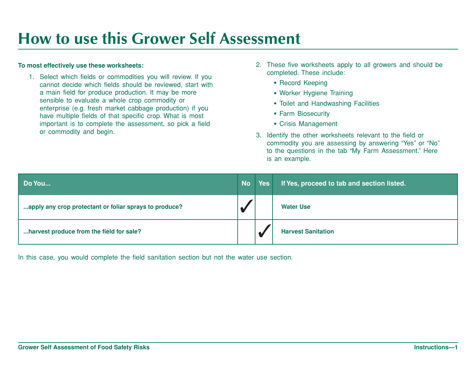# **How to use this Grower Self Assessment**

#### **To most effectively use these worksheets:**

1. Select which fields or commodities you will review. If you cannot decide which fields should be reviewed, start with a main field for produce production. It may be more sensible to evaluate a whole crop commodity or enterprise (e.g. fresh market cabbage production) if you have multiple fields of that specific crop. What is most important is to complete the assessment, so pick a field or commodity and begin.

- 2. These five worksheets apply to all growers and should be completed. These include:
	- Record Keeping
	- Worker Hygiene Training
	- Toilet and Handwashing Facilities
	- Farm Biosecurity
	- Crisis Management
- 3. Identify the other worksheets relevant to the field or commodity you are assessing by answering "Yes" or "No" to the questions in the tab "My Farm Assessment." Here is an example.

| Do You                                                 | <b>No</b> | <b>Yes</b> | If Yes, proceed to tab and section listed. |
|--------------------------------------------------------|-----------|------------|--------------------------------------------|
| apply any crop protectant or foliar sprays to produce? | $\bullet$ |            | <b>Water Use</b>                           |
| harvest produce from the field for sale?               |           |            | <b>Harvest Sanitation</b>                  |

In this case, you would complete the field sanitation section but not the water use section.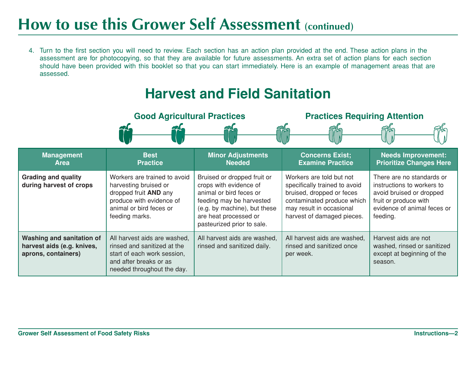# **How to use this Grower Self Assessment (continued)**

4. Turn to the first section you will need to review. Each section has an action plan provided at the end. These action plans in the assessment are for photocopying, so that they are available for future assessments. An extra set of action plans for each section should have been provided with this booklet so that you can start immediately. Here is an example of management areas that are assessed.

#### **Harvest and Field Sanitation**

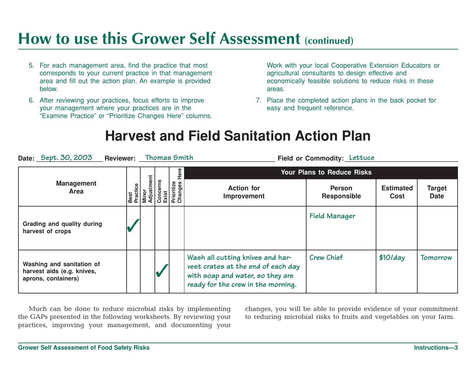## **How to use this Grower Self Assessment (continued)**

- 5. For each management area, find the practice that most corresponds to your current practice in that management area and fill out the action plan. An example is provided below.
- 6. After reviewing your practices, focus efforts to improve your management where your practices are in the "Examine Practice" or "Prioritize Changes Here" columns.

Work with your local Cooperative Extension Educators or agricultural consultants to design effective and economically feasible solutions to reduce risks in these areas.

7. Place the completed action plans in the back pocket for easy and frequent reference.

#### **Harvest and Field Sanitation Action Plan**

| Date: Sept. 30, 2003<br><b>Reviewer:</b>                                       |                  |                     | Thomas Smith                               |                                                                                                                                                  | Field or Commodity: Lettuce         |                                 |                              |  |  |  |
|--------------------------------------------------------------------------------|------------------|---------------------|--------------------------------------------|--------------------------------------------------------------------------------------------------------------------------------------------------|-------------------------------------|---------------------------------|------------------------------|--|--|--|
|                                                                                |                  |                     | Here                                       |                                                                                                                                                  | <b>Your Plans to Reduce Risks</b>   |                                 |                              |  |  |  |
| <b>Management</b><br><b>Area</b>                                               | Best<br>Practice | Minor<br>Adjustment | Concerns<br>Exist<br>Prioritize<br>Changes | <b>Action for</b><br>Improvement                                                                                                                 | <b>Person</b><br><b>Responsible</b> | <b>Estimated</b><br><b>Cost</b> | <b>Target</b><br><b>Date</b> |  |  |  |
| Grading and quality during<br>harvest of crops                                 |                  |                     |                                            |                                                                                                                                                  | Field Manager                       |                                 |                              |  |  |  |
| Washing and sanitation of<br>harvest aids (e.g. knives,<br>aprons, containers) |                  |                     |                                            | Wash all cutting knives and har-<br>vest crates at the end of each day<br>with soap and water, so they are<br>ready for the crew in the morning. | <b>Crew Chief</b>                   | $$10$ /day                      | Tomorrow                     |  |  |  |

Much can be done to reduce microbial risks by implementing the GAPs presented in the following worksheets. By reviewing your practices, improving your management, and documenting your changes, you will be able to provide evidence of your commitment to reducing microbial risks to fruits and vegetables on your farm.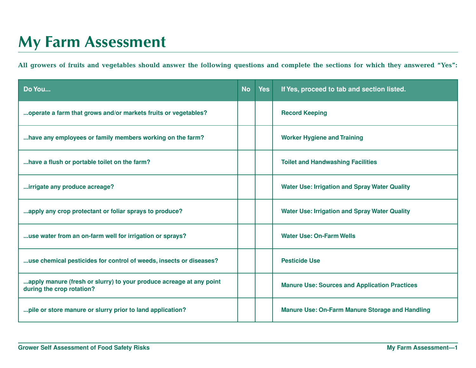# **My Farm Assessment**

**All growers of fruits and vegetables should answer the following questions and complete the sections for which they answered "Yes":**

| Do You                                                                                           | <b>No</b> | <b>Yes</b> | If Yes, proceed to tab and section listed.             |
|--------------------------------------------------------------------------------------------------|-----------|------------|--------------------------------------------------------|
| operate a farm that grows and/or markets fruits or vegetables?                                   |           |            | <b>Record Keeping</b>                                  |
| have any employees or family members working on the farm?                                        |           |            | <b>Worker Hygiene and Training</b>                     |
| have a flush or portable toilet on the farm?                                                     |           |            | <b>Toilet and Handwashing Facilities</b>               |
| irrigate any produce acreage?                                                                    |           |            | <b>Water Use: Irrigation and Spray Water Quality</b>   |
| apply any crop protectant or foliar sprays to produce?                                           |           |            | <b>Water Use: Irrigation and Spray Water Quality</b>   |
| use water from an on-farm well for irrigation or sprays?                                         |           |            | <b>Water Use: On-Farm Wells</b>                        |
| use chemical pesticides for control of weeds, insects or diseases?                               |           |            | <b>Pesticide Use</b>                                   |
| apply manure (fresh or slurry) to your produce acreage at any point<br>during the crop rotation? |           |            | <b>Manure Use: Sources and Application Practices</b>   |
| pile or store manure or slurry prior to land application?                                        |           |            | <b>Manure Use: On-Farm Manure Storage and Handling</b> |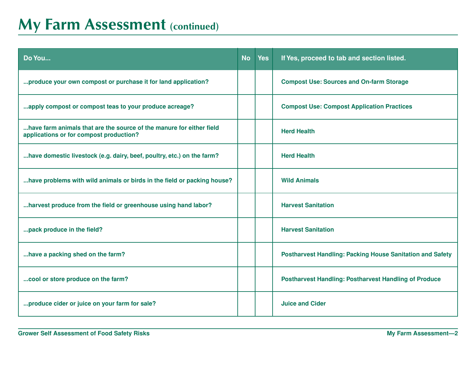## **My Farm Assessment (continued)**

| Do You                                                                                                          | <b>No</b> | <b>Yes</b> | If Yes, proceed to tab and section listed.                       |
|-----------------------------------------------------------------------------------------------------------------|-----------|------------|------------------------------------------------------------------|
| produce your own compost or purchase it for land application?                                                   |           |            | <b>Compost Use: Sources and On-farm Storage</b>                  |
| apply compost or compost teas to your produce acreage?                                                          |           |            | <b>Compost Use: Compost Application Practices</b>                |
| have farm animals that are the source of the manure for either field<br>applications or for compost production? |           |            | <b>Herd Health</b>                                               |
| have domestic livestock (e.g. dairy, beef, poultry, etc.) on the farm?                                          |           |            | <b>Herd Health</b>                                               |
| have problems with wild animals or birds in the field or packing house?                                         |           |            | <b>Wild Animals</b>                                              |
| harvest produce from the field or greenhouse using hand labor?                                                  |           |            | <b>Harvest Sanitation</b>                                        |
| pack produce in the field?                                                                                      |           |            | <b>Harvest Sanitation</b>                                        |
| have a packing shed on the farm?                                                                                |           |            | <b>Postharvest Handling: Packing House Sanitation and Safety</b> |
| cool or store produce on the farm?                                                                              |           |            | <b>Postharvest Handling: Postharvest Handling of Produce</b>     |
| produce cider or juice on your farm for sale?                                                                   |           |            | <b>Juice and Cider</b>                                           |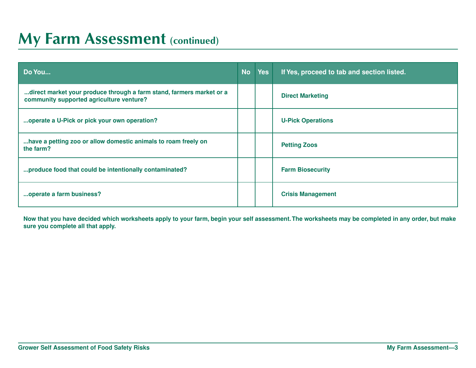#### **My Farm Assessment (continued)**

| Do You                                                                                                           | <b>No</b> | <b>Yes</b> | If Yes, proceed to tab and section listed. |
|------------------------------------------------------------------------------------------------------------------|-----------|------------|--------------------------------------------|
| direct market your produce through a farm stand, farmers market or a<br>community supported agriculture venture? |           |            | <b>Direct Marketing</b>                    |
| operate a U-Pick or pick your own operation?                                                                     |           |            | <b>U-Pick Operations</b>                   |
| have a petting zoo or allow domestic animals to roam freely on<br>the farm?                                      |           |            | <b>Petting Zoos</b>                        |
| produce food that could be intentionally contaminated?                                                           |           |            | <b>Farm Biosecurity</b>                    |
| operate a farm business?                                                                                         |           |            | <b>Crisis Management</b>                   |

**Now that you have decided which worksheets apply to your farm, begin your self assessment. The worksheets may be completed in any order, but make sure you complete all that apply.**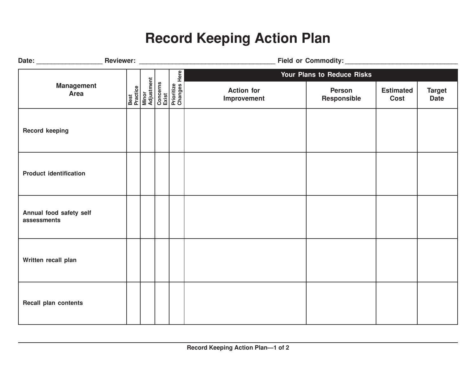## **Record Keeping Action Plan**

|                                        |  |                                                                                                 |                                  | Field or Commodity: Management of Commodity: |                          |                              |
|----------------------------------------|--|-------------------------------------------------------------------------------------------------|----------------------------------|----------------------------------------------|--------------------------|------------------------------|
|                                        |  |                                                                                                 |                                  | Your Plans to Reduce Risks                   |                          |                              |
| <b>Management</b><br><b>Area</b>       |  | <b>Best</b><br>Practice<br>Minor<br>Adjustment<br>Concerns<br>Exist<br>Prioritize<br>Prioritize | <b>Action for</b><br>Improvement | <b>Person</b><br>Responsible                 | <b>Estimated</b><br>Cost | <b>Target</b><br><b>Date</b> |
| <b>Record keeping</b>                  |  |                                                                                                 |                                  |                                              |                          |                              |
| <b>Product identification</b>          |  |                                                                                                 |                                  |                                              |                          |                              |
| Annual food safety self<br>assessments |  |                                                                                                 |                                  |                                              |                          |                              |
| Written recall plan                    |  |                                                                                                 |                                  |                                              |                          |                              |
| <b>Recall plan contents</b>            |  |                                                                                                 |                                  |                                              |                          |                              |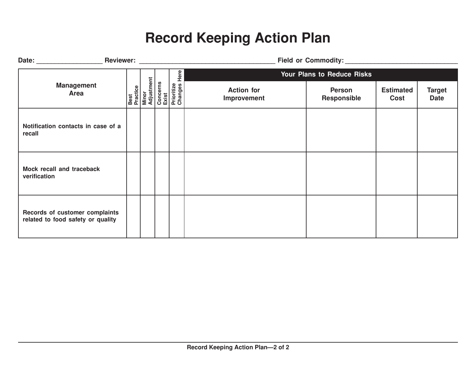## **Record Keeping Action Plan**

|                                                                     |                                         |                                                         | Reviewer: Website and the contract of the contract of the contract of the contract of the contract of the contract of the contract of the contract of the contract of the contract of the contract of the contract of the cont | Field or Commodity:                 |                          |                              |
|---------------------------------------------------------------------|-----------------------------------------|---------------------------------------------------------|--------------------------------------------------------------------------------------------------------------------------------------------------------------------------------------------------------------------------------|-------------------------------------|--------------------------|------------------------------|
|                                                                     |                                         | Here                                                    | <b>Your Plans to Reduce Risks</b>                                                                                                                                                                                              |                                     |                          |                              |
| <b>Management</b><br>Area                                           | Best<br>Practice<br>Minor<br>Adjustment | Concerns<br>Exist<br>Prioritize<br>Changes <del>I</del> | <b>Action for</b><br>Improvement                                                                                                                                                                                               | <b>Person</b><br><b>Responsible</b> | <b>Estimated</b><br>Cost | <b>Target</b><br><b>Date</b> |
| Notification contacts in case of a<br>recall                        |                                         |                                                         |                                                                                                                                                                                                                                |                                     |                          |                              |
| Mock recall and traceback<br>verification                           |                                         |                                                         |                                                                                                                                                                                                                                |                                     |                          |                              |
| Records of customer complaints<br>related to food safety or quality |                                         |                                                         |                                                                                                                                                                                                                                |                                     |                          |                              |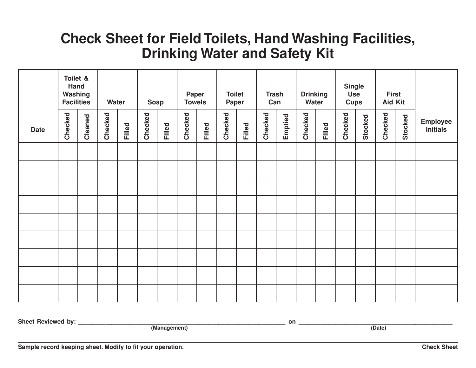#### **Check Sheet for Field Toilets, Hand Washing Facilities, Drinking Water and Safety Kit**

|             | Toilet &<br>Hand<br>Washing<br><b>Facilities</b> |         | Water   |        | Soap    |        | <b>Paper</b><br><b>Towels</b> |        | <b>Toilet</b><br>Paper |               | <b>Trash</b><br>Can |         | <b>Drinking</b><br>Water |        | <b>Single</b><br><b>Use</b><br><b>Cups</b> |         | <b>First</b><br>Aid Kit |         |                                    |
|-------------|--------------------------------------------------|---------|---------|--------|---------|--------|-------------------------------|--------|------------------------|---------------|---------------------|---------|--------------------------|--------|--------------------------------------------|---------|-------------------------|---------|------------------------------------|
| <b>Date</b> | Checked                                          | Cleaned | Checked | Filled | Checked | Filled | Checked                       | Filled | Checked                | <b>Filled</b> | Checked             | Emptied | Checked                  | Filled | Checked                                    | Stocked | Checked                 | Stocked | <b>Employee</b><br><b>Initials</b> |
|             |                                                  |         |         |        |         |        |                               |        |                        |               |                     |         |                          |        |                                            |         |                         |         |                                    |
|             |                                                  |         |         |        |         |        |                               |        |                        |               |                     |         |                          |        |                                            |         |                         |         |                                    |
|             |                                                  |         |         |        |         |        |                               |        |                        |               |                     |         |                          |        |                                            |         |                         |         |                                    |
|             |                                                  |         |         |        |         |        |                               |        |                        |               |                     |         |                          |        |                                            |         |                         |         |                                    |
|             |                                                  |         |         |        |         |        |                               |        |                        |               |                     |         |                          |        |                                            |         |                         |         |                                    |
|             |                                                  |         |         |        |         |        |                               |        |                        |               |                     |         |                          |        |                                            |         |                         |         |                                    |
|             |                                                  |         |         |        |         |        |                               |        |                        |               |                     |         |                          |        |                                            |         |                         |         |                                    |
|             |                                                  |         |         |        |         |        |                               |        |                        |               |                     |         |                          |        |                                            |         |                         |         |                                    |
|             |                                                  |         |         |        |         |        |                               |        |                        |               |                     |         |                          |        |                                            |         |                         |         |                                    |

**Sheet Reviewed by: \_\_\_\_\_\_\_\_\_\_\_\_\_\_\_\_\_\_\_\_\_\_\_\_\_\_\_\_\_\_\_\_\_\_\_\_\_\_\_\_\_\_\_\_\_\_\_\_\_\_\_\_\_\_\_\_\_\_\_\_\_\_ on \_\_\_\_\_\_\_\_\_\_\_\_\_\_\_\_\_\_\_\_\_\_\_\_\_\_\_\_\_\_\_\_\_\_\_\_\_\_\_\_\_\_\_\_\_\_**

**(Management) (Date)**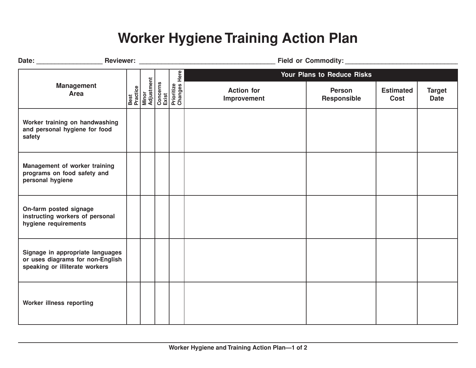#### **Worker Hygiene Training Action Plan**

| Date: Reviewer: Reviewer:                                                                              |                                         |                                                 |                                  |                              |                          |                              |
|--------------------------------------------------------------------------------------------------------|-----------------------------------------|-------------------------------------------------|----------------------------------|------------------------------|--------------------------|------------------------------|
|                                                                                                        |                                         |                                                 |                                  | Your Plans to Reduce Risks   |                          |                              |
| <b>Management</b><br>Area                                                                              | Best<br>Practice<br>Minor<br>Adjustment | Concerns<br>Exist<br>Prioritize<br>Changes Here | <b>Action for</b><br>Improvement | <b>Person</b><br>Responsible | <b>Estimated</b><br>Cost | <b>Target</b><br><b>Date</b> |
| Worker training on handwashing<br>and personal hygiene for food<br>safety                              |                                         |                                                 |                                  |                              |                          |                              |
| Management of worker training<br>programs on food safety and<br>personal hygiene                       |                                         |                                                 |                                  |                              |                          |                              |
| On-farm posted signage<br>instructing workers of personal<br>hygiene requirements                      |                                         |                                                 |                                  |                              |                          |                              |
| Signage in appropriate languages<br>or uses diagrams for non-English<br>speaking or illiterate workers |                                         |                                                 |                                  |                              |                          |                              |
| Worker illness reporting                                                                               |                                         |                                                 |                                  |                              |                          |                              |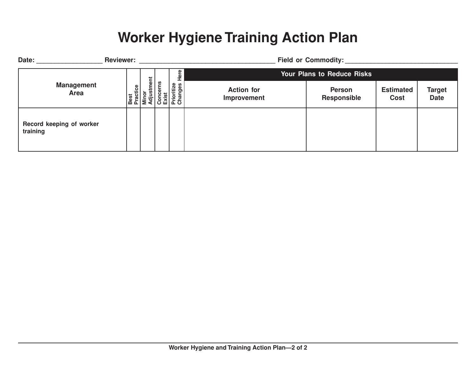#### **Worker Hygiene Training Action Plan**

| Date:                                | <b>Reviewer:</b> |                                       |                                            |                                   | <b>Field or Commodity:</b>   |                                 |                              |  |  |  |
|--------------------------------------|------------------|---------------------------------------|--------------------------------------------|-----------------------------------|------------------------------|---------------------------------|------------------------------|--|--|--|
|                                      |                  | ţ                                     |                                            | <b>Your Plans to Reduce Risks</b> |                              |                                 |                              |  |  |  |
| <b>Management</b><br>Area            | ractice          | ast<br>  Practi<br>  Minos<br>  Adjus | Concerns<br>Exist<br>Prioritize<br>Changes | <b>Action for</b><br>Improvement  | <b>Person</b><br>Responsible | <b>Estimated</b><br><b>Cost</b> | <b>Target</b><br><b>Date</b> |  |  |  |
| Record keeping of worker<br>training |                  |                                       |                                            |                                   |                              |                                 |                              |  |  |  |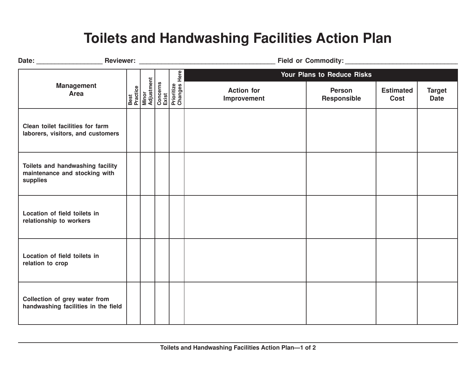#### **Toilets and Handwashing Facilities Action Plan**

|                                                                               |  |                                                                                          |                                  | Your Plans to Reduce Risks   |                                 |                              |
|-------------------------------------------------------------------------------|--|------------------------------------------------------------------------------------------|----------------------------------|------------------------------|---------------------------------|------------------------------|
| <b>Management</b><br>Area                                                     |  | Best<br>Practice<br>Minor<br>Adjustment<br>Concerns<br>Exist<br>Prioritize<br>Prioritize | <b>Action for</b><br>Improvement | <b>Person</b><br>Responsible | <b>Estimated</b><br><b>Cost</b> | <b>Target</b><br><b>Date</b> |
| Clean toilet facilities for farm<br>laborers, visitors, and customers         |  |                                                                                          |                                  |                              |                                 |                              |
| Toilets and handwashing facility<br>maintenance and stocking with<br>supplies |  |                                                                                          |                                  |                              |                                 |                              |
| Location of field toilets in<br>relationship to workers                       |  |                                                                                          |                                  |                              |                                 |                              |
| Location of field toilets in<br>relation to crop                              |  |                                                                                          |                                  |                              |                                 |                              |
| Collection of grey water from<br>handwashing facilities in the field          |  |                                                                                          |                                  |                              |                                 |                              |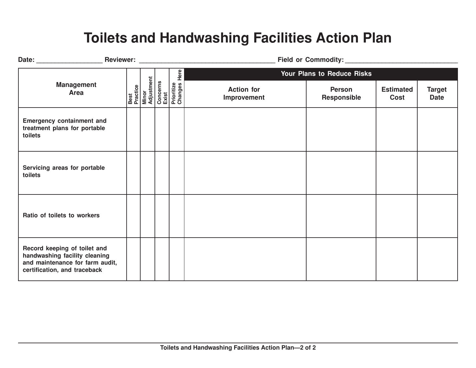#### **Toilets and Handwashing Facilities Action Plan**

|                                                                                                                                  |                                         | Here                                         |                                  | Your Plans to Reduce Risks          |                                 |                              |
|----------------------------------------------------------------------------------------------------------------------------------|-----------------------------------------|----------------------------------------------|----------------------------------|-------------------------------------|---------------------------------|------------------------------|
| <b>Management</b><br><b>Area</b>                                                                                                 | Best<br>Practice<br>Minor<br>Adjustment | Concerns<br>Exist<br>Prioritize<br>Changes I | <b>Action for</b><br>Improvement | <b>Person</b><br><b>Responsible</b> | <b>Estimated</b><br><b>Cost</b> | <b>Target</b><br><b>Date</b> |
| <b>Emergency containment and</b><br>treatment plans for portable<br>toilets                                                      |                                         |                                              |                                  |                                     |                                 |                              |
| Servicing areas for portable<br>toilets                                                                                          |                                         |                                              |                                  |                                     |                                 |                              |
| Ratio of toilets to workers                                                                                                      |                                         |                                              |                                  |                                     |                                 |                              |
| Record keeping of toilet and<br>handwashing facility cleaning<br>and maintenance for farm audit,<br>certification, and traceback |                                         |                                              |                                  |                                     |                                 |                              |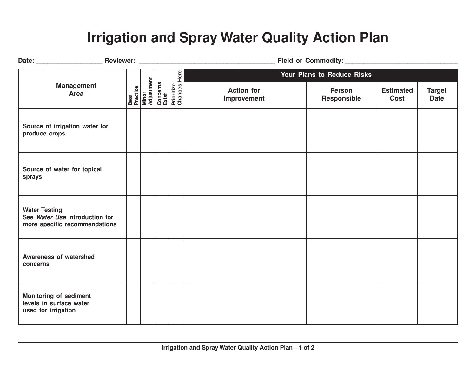#### **Irrigation and Spray Water Quality Action Plan**

|                                                                                         |                                                                     |                            | Field or Commodity: Management of Commodity: |                              |                          |                              |  |
|-----------------------------------------------------------------------------------------|---------------------------------------------------------------------|----------------------------|----------------------------------------------|------------------------------|--------------------------|------------------------------|--|
|                                                                                         |                                                                     |                            | Your Plans to Reduce Risks                   |                              |                          |                              |  |
| <b>Management</b><br><b>Area</b>                                                        | <b>Best</b><br>Practice<br>Minor<br>Adjustment<br>Concerns<br>Exist | Prioritize<br>Changes Here | <b>Action for</b><br>Improvement             | <b>Person</b><br>Responsible | <b>Estimated</b><br>Cost | <b>Target</b><br><b>Date</b> |  |
| Source of irrigation water for<br>produce crops                                         |                                                                     |                            |                                              |                              |                          |                              |  |
| Source of water for topical<br>sprays                                                   |                                                                     |                            |                                              |                              |                          |                              |  |
| <b>Water Testing</b><br>See Water Use introduction for<br>more specific recommendations |                                                                     |                            |                                              |                              |                          |                              |  |
| <b>Awareness of watershed</b><br>concerns                                               |                                                                     |                            |                                              |                              |                          |                              |  |
| <b>Monitoring of sediment</b><br>levels in surface water<br>used for irrigation         |                                                                     |                            |                                              |                              |                          |                              |  |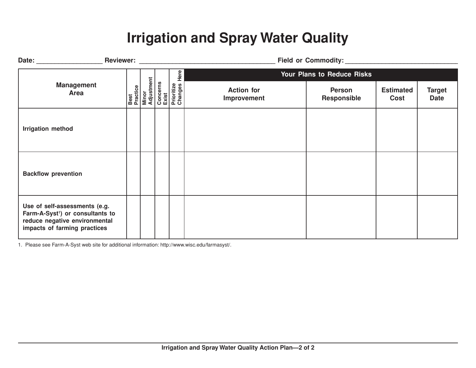#### **Irrigation and Spray Water Quality**

|                                                                                                                                                |                                         |                                                     | Field or Commodity:               |                              |                          |                              |  |  |
|------------------------------------------------------------------------------------------------------------------------------------------------|-----------------------------------------|-----------------------------------------------------|-----------------------------------|------------------------------|--------------------------|------------------------------|--|--|
| <b>Management</b><br>Area                                                                                                                      |                                         | Here                                                | <b>Your Plans to Reduce Risks</b> |                              |                          |                              |  |  |
|                                                                                                                                                | Best<br>Practice<br>Minor<br>Adjustment | Concerns<br>Exist<br>Prioritize<br>Changes <b>I</b> | <b>Action for</b><br>Improvement  | <b>Person</b><br>Responsible | <b>Estimated</b><br>Cost | <b>Target</b><br><b>Date</b> |  |  |
| <b>Irrigation method</b>                                                                                                                       |                                         |                                                     |                                   |                              |                          |                              |  |  |
| <b>Backflow prevention</b>                                                                                                                     |                                         |                                                     |                                   |                              |                          |                              |  |  |
| Use of self-assessments (e.g.<br>Farm-A-Syst <sup>1</sup> ) or consultants to<br>reduce negative environmental<br>impacts of farming practices |                                         |                                                     |                                   |                              |                          |                              |  |  |

1. Please see Farm-A-Syst web site for additional information: http://www.wisc.edu/farmasyst/.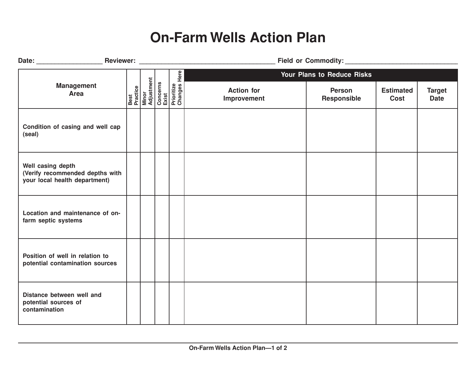#### **On-Farm Wells Action Plan**

| Date: Reviewer: Reviewer:                                                             |  |                                                                                          | Field or Commodity: Management of Commodity: |                              |                          |                              |  |  |
|---------------------------------------------------------------------------------------|--|------------------------------------------------------------------------------------------|----------------------------------------------|------------------------------|--------------------------|------------------------------|--|--|
|                                                                                       |  |                                                                                          | Your Plans to Reduce Risks                   |                              |                          |                              |  |  |
| <b>Management</b><br><b>Area</b>                                                      |  | Best<br>Practice<br>Minor<br>Adjustment<br>Concerns<br>Exist<br>Prioritize<br>Prioritize | <b>Action for</b><br>Improvement             | <b>Person</b><br>Responsible | <b>Estimated</b><br>Cost | <b>Target</b><br><b>Date</b> |  |  |
| Condition of casing and well cap<br>(seal)                                            |  |                                                                                          |                                              |                              |                          |                              |  |  |
| Well casing depth<br>(Verify recommended depths with<br>your local health department) |  |                                                                                          |                                              |                              |                          |                              |  |  |
| Location and maintenance of on-<br>farm septic systems                                |  |                                                                                          |                                              |                              |                          |                              |  |  |
| Position of well in relation to<br>potential contamination sources                    |  |                                                                                          |                                              |                              |                          |                              |  |  |
| Distance between well and<br>potential sources of<br>contamination                    |  |                                                                                          |                                              |                              |                          |                              |  |  |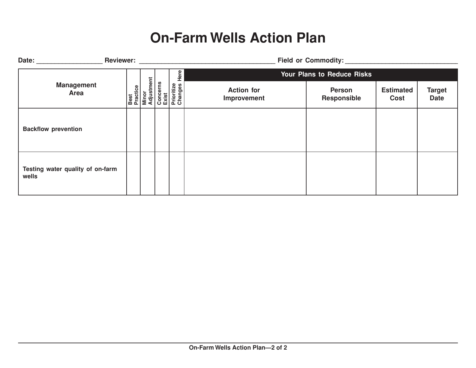#### **On-Farm Wells Action Plan**

| Date:                      | <b>Reviewer:</b>                 |  | Field or Commodity:                                                                             |                                  |                                     |                          |                              |  |  |
|----------------------------|----------------------------------|--|-------------------------------------------------------------------------------------------------|----------------------------------|-------------------------------------|--------------------------|------------------------------|--|--|
|                            |                                  |  | Here                                                                                            |                                  | Your Plans to Reduce Risks          |                          |                              |  |  |
|                            | <b>Management</b><br>Area        |  | <b>Best</b><br>Practice<br>Minor<br>Adjustment<br>Concerns<br>Exist<br>Prioritize<br>Prioritize | <b>Action for</b><br>Improvement | <b>Person</b><br><b>Responsible</b> | <b>Estimated</b><br>Cost | <b>Target</b><br><b>Date</b> |  |  |
| <b>Backflow prevention</b> |                                  |  |                                                                                                 |                                  |                                     |                          |                              |  |  |
| wells                      | Testing water quality of on-farm |  |                                                                                                 |                                  |                                     |                          |                              |  |  |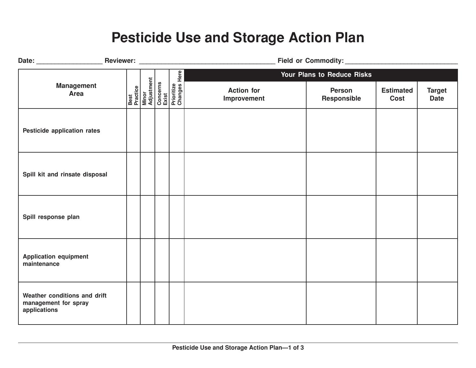#### **Pesticide Use and Storage Action Plan**

|                                                                      |  |                                                                                                 |                                  | Your Plans to Reduce Risks |                          |                              |  |
|----------------------------------------------------------------------|--|-------------------------------------------------------------------------------------------------|----------------------------------|----------------------------|--------------------------|------------------------------|--|
| <b>Management</b><br><b>Area</b>                                     |  | <b>Best</b><br>Practice<br>Minor<br>Adjustment<br>Concerns<br>Exist<br>Prioritize<br>Prioritize | <b>Action for</b><br>Improvement | Person<br>Responsible      | <b>Estimated</b><br>Cost | <b>Target</b><br><b>Date</b> |  |
| Pesticide application rates                                          |  |                                                                                                 |                                  |                            |                          |                              |  |
| Spill kit and rinsate disposal                                       |  |                                                                                                 |                                  |                            |                          |                              |  |
| Spill response plan                                                  |  |                                                                                                 |                                  |                            |                          |                              |  |
| <b>Application equipment</b><br>maintenance                          |  |                                                                                                 |                                  |                            |                          |                              |  |
| Weather conditions and drift<br>management for spray<br>applications |  |                                                                                                 |                                  |                            |                          |                              |  |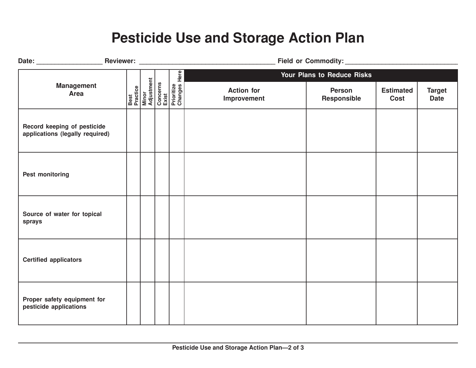#### **Pesticide Use and Storage Action Plan**

|                                                                |  |                                                                                          | Field or Commodity: Management of Commodity: |                              |                          |                              |  |  |
|----------------------------------------------------------------|--|------------------------------------------------------------------------------------------|----------------------------------------------|------------------------------|--------------------------|------------------------------|--|--|
|                                                                |  |                                                                                          | Your Plans to Reduce Risks                   |                              |                          |                              |  |  |
| <b>Management</b><br><b>Area</b>                               |  | Best<br>Practice<br>Minor<br>Adjustment<br>Concerns<br>Exist<br>Prioritize<br>Prioritize | <b>Action for</b><br>Improvement             | <b>Person</b><br>Responsible | <b>Estimated</b><br>Cost | <b>Target</b><br><b>Date</b> |  |  |
| Record keeping of pesticide<br>applications (legally required) |  |                                                                                          |                                              |                              |                          |                              |  |  |
| <b>Pest monitoring</b>                                         |  |                                                                                          |                                              |                              |                          |                              |  |  |
| Source of water for topical<br>sprays                          |  |                                                                                          |                                              |                              |                          |                              |  |  |
| <b>Certified applicators</b>                                   |  |                                                                                          |                                              |                              |                          |                              |  |  |
| Proper safety equipment for<br>pesticide applications          |  |                                                                                          |                                              |                              |                          |                              |  |  |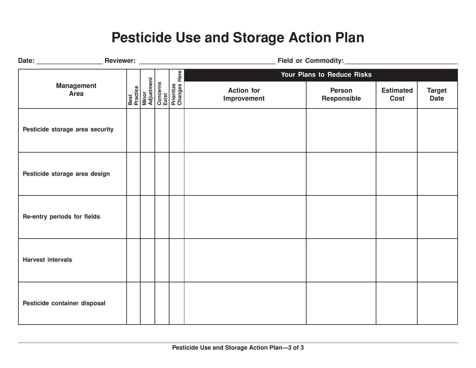#### **Pesticide Use and Storage Action Plan**

|                                 |  |                                                                                                 | Field or Commodity: Management of Commodity: |                            |                          |                              |  |
|---------------------------------|--|-------------------------------------------------------------------------------------------------|----------------------------------------------|----------------------------|--------------------------|------------------------------|--|
|                                 |  |                                                                                                 |                                              | Your Plans to Reduce Risks |                          |                              |  |
| <b>Management</b><br>Area       |  | <b>Best</b><br>Practice<br>Minor<br>Adjustment<br>Concerns<br>Exist<br>Prioritize<br>Prioritize | <b>Action for</b><br>Improvement             | Person<br>Responsible      | <b>Estimated</b><br>Cost | <b>Target</b><br><b>Date</b> |  |
| Pesticide storage area security |  |                                                                                                 |                                              |                            |                          |                              |  |
| Pesticide storage area design   |  |                                                                                                 |                                              |                            |                          |                              |  |
| Re-entry periods for fields     |  |                                                                                                 |                                              |                            |                          |                              |  |
| <b>Harvest intervals</b>        |  |                                                                                                 |                                              |                            |                          |                              |  |
| Pesticide container disposal    |  |                                                                                                 |                                              |                            |                          |                              |  |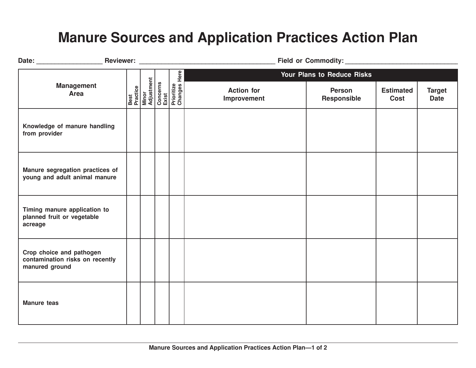#### **Manure Sources and Application Practices Action Plan**

|                                                                               |  |                                                                                          |                                  | Your Plans to Reduce Risks   |                                 |                              |  |
|-------------------------------------------------------------------------------|--|------------------------------------------------------------------------------------------|----------------------------------|------------------------------|---------------------------------|------------------------------|--|
| <b>Management</b><br>Area                                                     |  | Best<br>Practice<br>Minor<br>Adjustment<br>Concerns<br>Exist<br>Prioritize<br>Prioritize | <b>Action for</b><br>Improvement | <b>Person</b><br>Responsible | <b>Estimated</b><br><b>Cost</b> | <b>Target</b><br><b>Date</b> |  |
| Knowledge of manure handling<br>from provider                                 |  |                                                                                          |                                  |                              |                                 |                              |  |
| Manure segregation practices of<br>young and adult animal manure              |  |                                                                                          |                                  |                              |                                 |                              |  |
| Timing manure application to<br>planned fruit or vegetable<br>acreage         |  |                                                                                          |                                  |                              |                                 |                              |  |
| Crop choice and pathogen<br>contamination risks on recently<br>manured ground |  |                                                                                          |                                  |                              |                                 |                              |  |
| <b>Manure teas</b>                                                            |  |                                                                                          |                                  |                              |                                 |                              |  |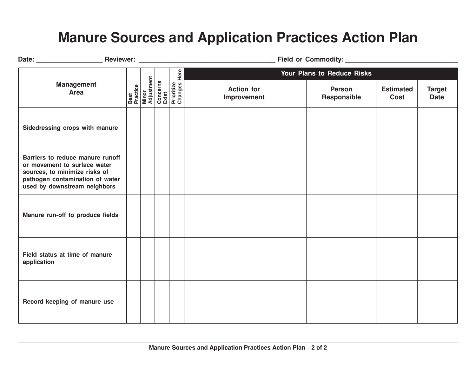#### **Manure Sources and Application Practices Action Plan**

|                                                                                                                                                                      |  |                                         |  | Here                                                |                                  | Your Plans to Reduce Risks   |                          |                              |  |
|----------------------------------------------------------------------------------------------------------------------------------------------------------------------|--|-----------------------------------------|--|-----------------------------------------------------|----------------------------------|------------------------------|--------------------------|------------------------------|--|
| <b>Management</b><br>Area                                                                                                                                            |  | Best<br>Practice<br>Minor<br>Adjustment |  | Concerns<br>Exist<br>Prioritize<br>Changes <b> </b> | <b>Action for</b><br>Improvement | <b>Person</b><br>Responsible | <b>Estimated</b><br>Cost | <b>Target</b><br><b>Date</b> |  |
| Sidedressing crops with manure                                                                                                                                       |  |                                         |  |                                                     |                                  |                              |                          |                              |  |
| Barriers to reduce manure runoff<br>or movement to surface water<br>sources, to minimize risks of<br>pathogen contamination of water<br>used by downstream neighbors |  |                                         |  |                                                     |                                  |                              |                          |                              |  |
| Manure run-off to produce fields                                                                                                                                     |  |                                         |  |                                                     |                                  |                              |                          |                              |  |
| Field status at time of manure<br>application                                                                                                                        |  |                                         |  |                                                     |                                  |                              |                          |                              |  |
| Record keeping of manure use                                                                                                                                         |  |                                         |  |                                                     |                                  |                              |                          |                              |  |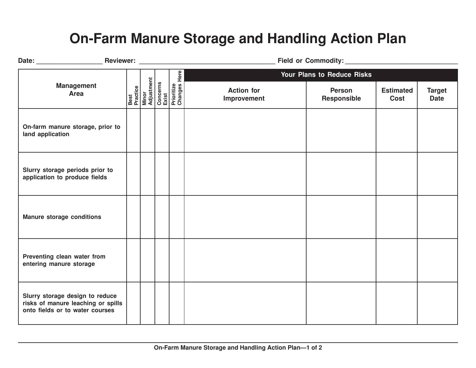### **On-Farm Manure Storage and Handling Action Plan**

|                                                                                                          |  |                                                                                          | Reviewer: William State Communication of the Communication of the Communication of the Communication of the Communication of the Communication of the Communication of the Communication of the Communication of the Communica |                              |                          |                              |  |
|----------------------------------------------------------------------------------------------------------|--|------------------------------------------------------------------------------------------|--------------------------------------------------------------------------------------------------------------------------------------------------------------------------------------------------------------------------------|------------------------------|--------------------------|------------------------------|--|
|                                                                                                          |  |                                                                                          |                                                                                                                                                                                                                                | Your Plans to Reduce Risks   |                          |                              |  |
| <b>Management</b><br>Area                                                                                |  | Best<br>Practice<br>Minor<br>Adjustment<br>Concerns<br>Exist<br>Prioritize<br>Prioritize | <b>Action for</b><br>Improvement                                                                                                                                                                                               | <b>Person</b><br>Responsible | <b>Estimated</b><br>Cost | <b>Target</b><br><b>Date</b> |  |
| On-farm manure storage, prior to<br>land application                                                     |  |                                                                                          |                                                                                                                                                                                                                                |                              |                          |                              |  |
| Slurry storage periods prior to<br>application to produce fields                                         |  |                                                                                          |                                                                                                                                                                                                                                |                              |                          |                              |  |
| <b>Manure storage conditions</b>                                                                         |  |                                                                                          |                                                                                                                                                                                                                                |                              |                          |                              |  |
| Preventing clean water from<br>entering manure storage                                                   |  |                                                                                          |                                                                                                                                                                                                                                |                              |                          |                              |  |
| Slurry storage design to reduce<br>risks of manure leaching or spills<br>onto fields or to water courses |  |                                                                                          |                                                                                                                                                                                                                                |                              |                          |                              |  |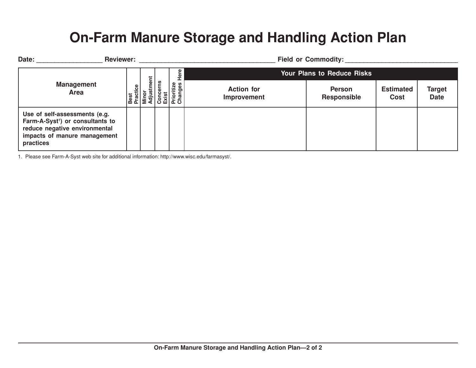#### **On-Farm Manure Storage and Handling Action Plan**

| Date: | <b>Reviewer:</b>                                                                                                                                            |                       |   |                                                                      | <b>Field or Commodity:</b>        |                                     |                                 |                       |  |  |
|-------|-------------------------------------------------------------------------------------------------------------------------------------------------------------|-----------------------|---|----------------------------------------------------------------------|-----------------------------------|-------------------------------------|---------------------------------|-----------------------|--|--|
|       |                                                                                                                                                             |                       | ā | ڡۣ                                                                   | <b>Your Plans to Reduce Risks</b> |                                     |                                 |                       |  |  |
|       | <b>Management</b><br>Area                                                                                                                                   | tice<br>Best<br>Praci |   | ritize<br>ğ<br>Minor<br>Adjusi<br>Conce<br>Exist<br>Priorit<br>Chang | <b>Action for</b><br>Improvement  | <b>Person</b><br><b>Responsible</b> | <b>Estimated</b><br><b>Cost</b> | Target<br><b>Date</b> |  |  |
|       | Use of self-assessments (e.g.<br>Farm-A-Syst <sup>1</sup> ) or consultants to<br>reduce negative environmental<br>impacts of manure management<br>practices |                       |   |                                                                      |                                   |                                     |                                 |                       |  |  |

1. Please see Farm-A-Syst web site for additional information: http://www.wisc.edu/farmasyst/.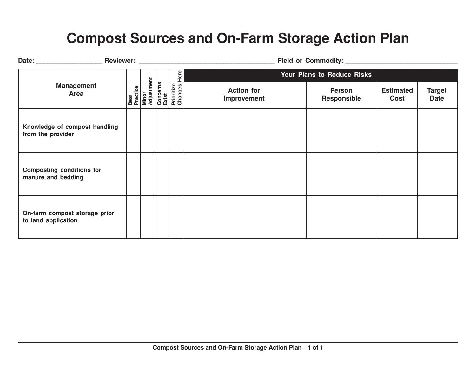#### **Compost Sources and On-Farm Storage Action Plan**

|                                                        |                                         |                                                         | Field or Commodity:              |                              |                          |                              |  |
|--------------------------------------------------------|-----------------------------------------|---------------------------------------------------------|----------------------------------|------------------------------|--------------------------|------------------------------|--|
|                                                        |                                         | Here                                                    |                                  | Your Plans to Reduce Risks   |                          |                              |  |
| <b>Management</b><br>Area                              | Best<br>Practice<br>Minor<br>Adjustment | Concerns<br>Exist<br>Prioritize<br>Changes <del> </del> | <b>Action for</b><br>Improvement | <b>Person</b><br>Responsible | <b>Estimated</b><br>Cost | <b>Target</b><br><b>Date</b> |  |
| Knowledge of compost handling<br>from the provider     |                                         |                                                         |                                  |                              |                          |                              |  |
| <b>Composting conditions for</b><br>manure and bedding |                                         |                                                         |                                  |                              |                          |                              |  |
| On-farm compost storage prior<br>to land application   |                                         |                                                         |                                  |                              |                          |                              |  |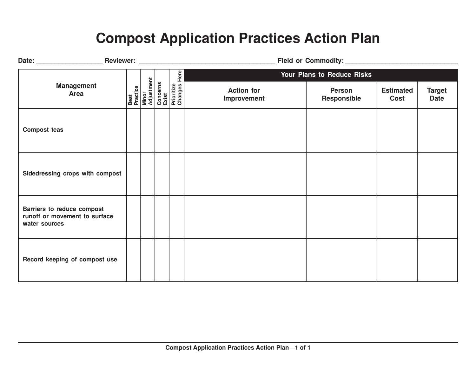### **Compost Application Practices Action Plan**

|                                                                              |  | Here                                                                                            |                                  | Your Plans to Reduce Risks   |                          |                              |  |
|------------------------------------------------------------------------------|--|-------------------------------------------------------------------------------------------------|----------------------------------|------------------------------|--------------------------|------------------------------|--|
| <b>Management</b><br><b>Area</b>                                             |  | <b>Best</b><br>Practice<br>Minor<br>Adjustment<br>Concerns<br>Exist<br>Prioritize<br>Prioritize | <b>Action for</b><br>Improvement | <b>Person</b><br>Responsible | <b>Estimated</b><br>Cost | <b>Target</b><br><b>Date</b> |  |
| <b>Compost teas</b>                                                          |  |                                                                                                 |                                  |                              |                          |                              |  |
| Sidedressing crops with compost                                              |  |                                                                                                 |                                  |                              |                          |                              |  |
| Barriers to reduce compost<br>runoff or movement to surface<br>water sources |  |                                                                                                 |                                  |                              |                          |                              |  |
| Record keeping of compost use                                                |  |                                                                                                 |                                  |                              |                          |                              |  |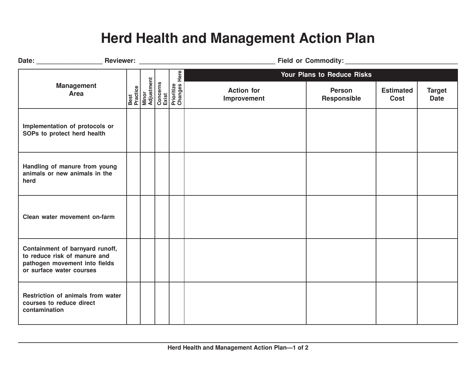#### **Herd Health and Management Action Plan**

|                                                                                                                              |                                                                     |                         | Field or Commodity: Management of Commodity: |                              |                                 |                              |  |
|------------------------------------------------------------------------------------------------------------------------------|---------------------------------------------------------------------|-------------------------|----------------------------------------------|------------------------------|---------------------------------|------------------------------|--|
|                                                                                                                              |                                                                     |                         | Here<br>Your Plans to Reduce Risks           |                              |                                 |                              |  |
| <b>Management</b><br><b>Area</b>                                                                                             | <b>Best</b><br>Practice<br>Minor<br>Adjustment<br>Concerns<br>Exist | Prioritize<br>Changes I | <b>Action for</b><br>Improvement             | <b>Person</b><br>Responsible | <b>Estimated</b><br><b>Cost</b> | <b>Target</b><br><b>Date</b> |  |
| Implementation of protocols or<br>SOPs to protect herd health                                                                |                                                                     |                         |                                              |                              |                                 |                              |  |
| Handling of manure from young<br>animals or new animals in the<br>herd                                                       |                                                                     |                         |                                              |                              |                                 |                              |  |
| Clean water movement on-farm                                                                                                 |                                                                     |                         |                                              |                              |                                 |                              |  |
| Containment of barnyard runoff,<br>to reduce risk of manure and<br>pathogen movement into fields<br>or surface water courses |                                                                     |                         |                                              |                              |                                 |                              |  |
| Restriction of animals from water<br>courses to reduce direct<br>contamination                                               |                                                                     |                         |                                              |                              |                                 |                              |  |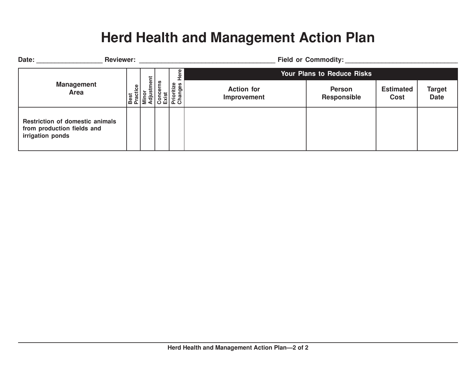#### **Herd Health and Management Action Plan**

| Date: | <b>Reviewer:</b>                                                                         |                                 |                |                                                       |           | <b>Field or Commodity:</b>        |                                     |                                 |                              |  |  |
|-------|------------------------------------------------------------------------------------------|---------------------------------|----------------|-------------------------------------------------------|-----------|-----------------------------------|-------------------------------------|---------------------------------|------------------------------|--|--|
|       |                                                                                          |                                 | ent            |                                                       | Φ         | <b>Your Plans to Reduce Risks</b> |                                     |                                 |                              |  |  |
|       | <b>Management</b><br>Area                                                                | $\frac{6}{11}$<br>Best<br>Praci | Minor<br>Adjus | <b>S</b><br>Concern<br>Exist<br>Prioritize<br>Changes | Φ<br>- 97 | <b>Action for</b><br>Improvement  | <b>Person</b><br><b>Responsible</b> | <b>Estimated</b><br><b>Cost</b> | <b>Target</b><br><b>Date</b> |  |  |
|       | <b>Restriction of domestic animals</b><br>from production fields and<br>irrigation ponds |                                 |                |                                                       |           |                                   |                                     |                                 |                              |  |  |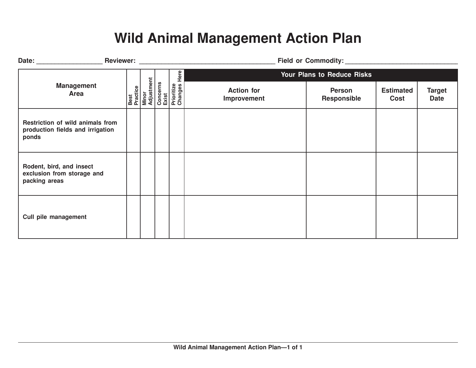#### **Wild Animal Management Action Plan**

| Date: Reviewer: Reviewer:                                                     |                                         |  |                                                                 |                                  |                              |                          |                              |  |
|-------------------------------------------------------------------------------|-----------------------------------------|--|-----------------------------------------------------------------|----------------------------------|------------------------------|--------------------------|------------------------------|--|
|                                                                               |                                         |  | Here<br>Concerns<br>Exist<br>Prioritize<br>Changes <del>I</del> |                                  | Your Plans to Reduce Risks   |                          |                              |  |
| <b>Management</b><br>Area                                                     | Best<br>Practice<br>Minor<br>Adjustment |  |                                                                 | <b>Action for</b><br>Improvement | <b>Person</b><br>Responsible | <b>Estimated</b><br>Cost | <b>Target</b><br><b>Date</b> |  |
| Restriction of wild animals from<br>production fields and irrigation<br>ponds |                                         |  |                                                                 |                                  |                              |                          |                              |  |
| Rodent, bird, and insect<br>exclusion from storage and<br>packing areas       |                                         |  |                                                                 |                                  |                              |                          |                              |  |
| Cull pile management                                                          |                                         |  |                                                                 |                                  |                              |                          |                              |  |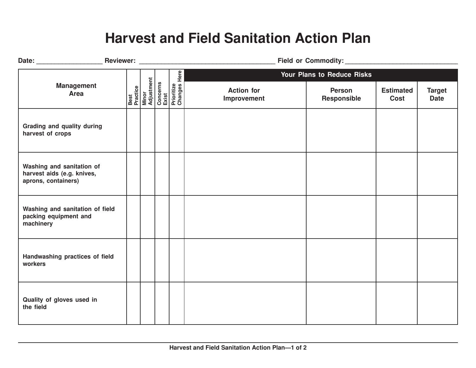#### **Harvest and Field Sanitation Action Plan**

|                                                                                |  |                                                                                          | Your Plans to Reduce Risks       |                              |                          |                              |  |  |
|--------------------------------------------------------------------------------|--|------------------------------------------------------------------------------------------|----------------------------------|------------------------------|--------------------------|------------------------------|--|--|
| <b>Management</b><br><b>Area</b>                                               |  | Best<br>Practice<br>Minor<br>Adjustment<br>Concerns<br>Exist<br>Prioritize<br>Prioritize | <b>Action for</b><br>Improvement | <b>Person</b><br>Responsible | <b>Estimated</b><br>Cost | <b>Target</b><br><b>Date</b> |  |  |
| Grading and quality during<br>harvest of crops                                 |  |                                                                                          |                                  |                              |                          |                              |  |  |
| Washing and sanitation of<br>harvest aids (e.g. knives,<br>aprons, containers) |  |                                                                                          |                                  |                              |                          |                              |  |  |
| Washing and sanitation of field<br>packing equipment and<br>machinery          |  |                                                                                          |                                  |                              |                          |                              |  |  |
| Handwashing practices of field<br>workers                                      |  |                                                                                          |                                  |                              |                          |                              |  |  |
| Quality of gloves used in<br>the field                                         |  |                                                                                          |                                  |                              |                          |                              |  |  |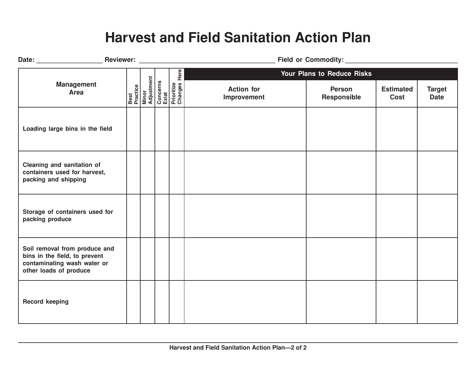#### **Harvest and Field Sanitation Action Plan**

|                                                                                                                         |  | Here                                                                                            |                                  | Your Plans to Reduce Risks   |                                 |                              |  |
|-------------------------------------------------------------------------------------------------------------------------|--|-------------------------------------------------------------------------------------------------|----------------------------------|------------------------------|---------------------------------|------------------------------|--|
| <b>Management</b><br><b>Area</b>                                                                                        |  | <b>Best</b><br>Practice<br>Minor<br>Adjustment<br>Concerns<br>Exist<br>Prioritize<br>Prioritize | <b>Action for</b><br>Improvement | <b>Person</b><br>Responsible | <b>Estimated</b><br><b>Cost</b> | <b>Target</b><br><b>Date</b> |  |
| Loading large bins in the field                                                                                         |  |                                                                                                 |                                  |                              |                                 |                              |  |
| Cleaning and sanitation of<br>containers used for harvest,<br>packing and shipping                                      |  |                                                                                                 |                                  |                              |                                 |                              |  |
| Storage of containers used for<br>packing produce                                                                       |  |                                                                                                 |                                  |                              |                                 |                              |  |
| Soil removal from produce and<br>bins in the field, to prevent<br>contaminating wash water or<br>other loads of produce |  |                                                                                                 |                                  |                              |                                 |                              |  |
| <b>Record keeping</b>                                                                                                   |  |                                                                                                 |                                  |                              |                                 |                              |  |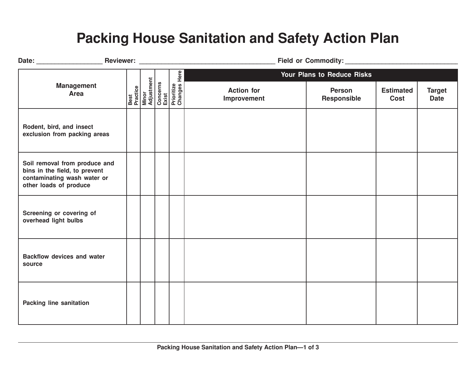#### **Packing House Sanitation and Safety Action Plan**

|                                                                                                                         |  | <b>Here</b>                                                                                     |                                  | <b>Your Plans to Reduce Risks</b> |                          |                              |  |  |
|-------------------------------------------------------------------------------------------------------------------------|--|-------------------------------------------------------------------------------------------------|----------------------------------|-----------------------------------|--------------------------|------------------------------|--|--|
| <b>Management</b><br><b>Area</b>                                                                                        |  | <b>Best</b><br>Practice<br>Minor<br>Milustment<br>Concerns<br>Exist<br>Prioritize<br>Prioritize | <b>Action for</b><br>Improvement | <b>Person</b><br>Responsible      | <b>Estimated</b><br>Cost | <b>Target</b><br><b>Date</b> |  |  |
| Rodent, bird, and insect<br>exclusion from packing areas                                                                |  |                                                                                                 |                                  |                                   |                          |                              |  |  |
| Soil removal from produce and<br>bins in the field, to prevent<br>contaminating wash water or<br>other loads of produce |  |                                                                                                 |                                  |                                   |                          |                              |  |  |
| Screening or covering of<br>overhead light bulbs                                                                        |  |                                                                                                 |                                  |                                   |                          |                              |  |  |
| <b>Backflow devices and water</b><br>source                                                                             |  |                                                                                                 |                                  |                                   |                          |                              |  |  |
| <b>Packing line sanitation</b>                                                                                          |  |                                                                                                 |                                  |                                   |                          |                              |  |  |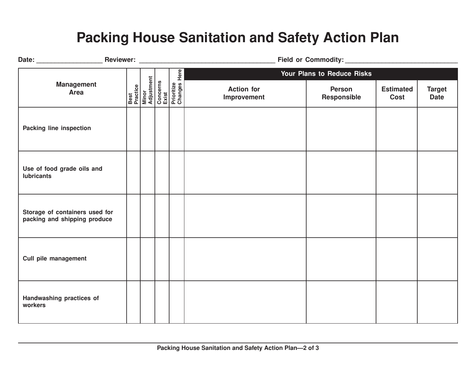#### **Packing House Sanitation and Safety Action Plan**

|                                                                |                                                                                          |  |                                  | Your Plans to Reduce Risks   |                          |                              |  |
|----------------------------------------------------------------|------------------------------------------------------------------------------------------|--|----------------------------------|------------------------------|--------------------------|------------------------------|--|
| <b>Management</b><br>Area                                      | Best<br>Practice<br>Minor<br>Adjustment<br>Concerns<br>Exist<br>Prioritize<br>Prioritize |  | <b>Action for</b><br>Improvement | <b>Person</b><br>Responsible | <b>Estimated</b><br>Cost | <b>Target</b><br><b>Date</b> |  |
| Packing line inspection                                        |                                                                                          |  |                                  |                              |                          |                              |  |
| Use of food grade oils and<br><b>lubricants</b>                |                                                                                          |  |                                  |                              |                          |                              |  |
| Storage of containers used for<br>packing and shipping produce |                                                                                          |  |                                  |                              |                          |                              |  |
| Cull pile management                                           |                                                                                          |  |                                  |                              |                          |                              |  |
| Handwashing practices of<br>workers                            |                                                                                          |  |                                  |                              |                          |                              |  |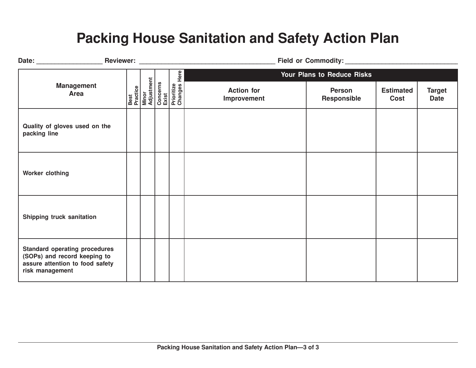#### **Packing House Sanitation and Safety Action Plan**

|                                                                                                                            |  |                                                                                            | Field or Commodity: Management of Commodity: |                                   |                          |                              |  |  |
|----------------------------------------------------------------------------------------------------------------------------|--|--------------------------------------------------------------------------------------------|----------------------------------------------|-----------------------------------|--------------------------|------------------------------|--|--|
|                                                                                                                            |  | Here                                                                                       |                                              | <b>Your Plans to Reduce Risks</b> |                          |                              |  |  |
| <b>Management</b><br>Area                                                                                                  |  | <b>Best</b><br>Practice<br>Minor<br>Adjustment<br>Concerns<br>Exist<br>Exist<br>Prioritize | <b>Action for</b><br>Improvement             | <b>Person</b><br>Responsible      | <b>Estimated</b><br>Cost | <b>Target</b><br><b>Date</b> |  |  |
| Quality of gloves used on the<br>packing line                                                                              |  |                                                                                            |                                              |                                   |                          |                              |  |  |
| Worker clothing                                                                                                            |  |                                                                                            |                                              |                                   |                          |                              |  |  |
| Shipping truck sanitation                                                                                                  |  |                                                                                            |                                              |                                   |                          |                              |  |  |
| <b>Standard operating procedures</b><br>(SOPs) and record keeping to<br>assure attention to food safety<br>risk management |  |                                                                                            |                                              |                                   |                          |                              |  |  |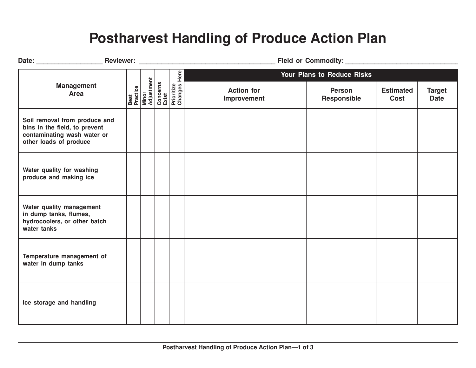#### **Postharvest Handling of Produce Action Plan**

|                                                                                                                         |  |                                                                                          |                                  | Your Plans to Reduce Risks   |                                 |                              |  |
|-------------------------------------------------------------------------------------------------------------------------|--|------------------------------------------------------------------------------------------|----------------------------------|------------------------------|---------------------------------|------------------------------|--|
| <b>Management</b><br><b>Area</b>                                                                                        |  | Best<br>Practice<br>Minor<br>Adjustment<br>Concerns<br>Exist<br>Prioritize<br>Prioritize | <b>Action for</b><br>Improvement | <b>Person</b><br>Responsible | <b>Estimated</b><br><b>Cost</b> | <b>Target</b><br><b>Date</b> |  |
| Soil removal from produce and<br>bins in the field, to prevent<br>contaminating wash water or<br>other loads of produce |  |                                                                                          |                                  |                              |                                 |                              |  |
| Water quality for washing<br>produce and making ice                                                                     |  |                                                                                          |                                  |                              |                                 |                              |  |
| Water quality management<br>in dump tanks, flumes,<br>hydrocoolers, or other batch<br>water tanks                       |  |                                                                                          |                                  |                              |                                 |                              |  |
| Temperature management of<br>water in dump tanks                                                                        |  |                                                                                          |                                  |                              |                                 |                              |  |
| Ice storage and handling                                                                                                |  |                                                                                          |                                  |                              |                                 |                              |  |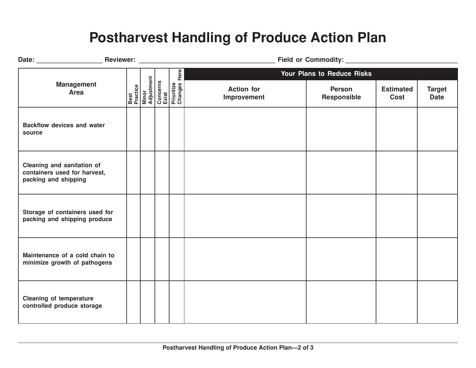#### **Postharvest Handling of Produce Action Plan**

| Date: Reviewer: Reviewer:                                                          |                                         |  |                                                      |                                  |                              |                          |                              |  |  |
|------------------------------------------------------------------------------------|-----------------------------------------|--|------------------------------------------------------|----------------------------------|------------------------------|--------------------------|------------------------------|--|--|
|                                                                                    |                                         |  |                                                      |                                  | Your Plans to Reduce Risks   |                          |                              |  |  |
| <b>Management</b><br>Area                                                          | Best<br>Practice<br>Minor<br>Adjustment |  | Here<br>Concerns<br>Exist<br>Prioritize<br>Changes H | <b>Action for</b><br>Improvement | <b>Person</b><br>Responsible | <b>Estimated</b><br>Cost | <b>Target</b><br><b>Date</b> |  |  |
| <b>Backflow devices and water</b><br>source                                        |                                         |  |                                                      |                                  |                              |                          |                              |  |  |
| Cleaning and sanitation of<br>containers used for harvest,<br>packing and shipping |                                         |  |                                                      |                                  |                              |                          |                              |  |  |
| Storage of containers used for<br>packing and shipping produce                     |                                         |  |                                                      |                                  |                              |                          |                              |  |  |
| Maintenance of a cold chain to<br>minimize growth of pathogens                     |                                         |  |                                                      |                                  |                              |                          |                              |  |  |
| <b>Cleaning of temperature</b><br>controlled produce storage                       |                                         |  |                                                      |                                  |                              |                          |                              |  |  |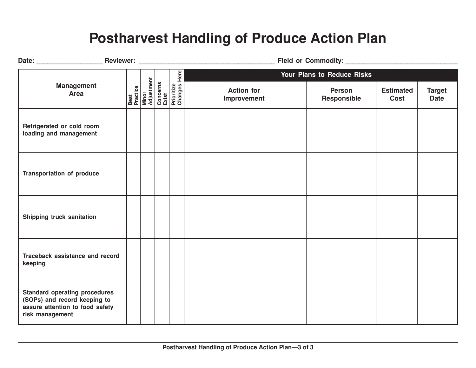#### **Postharvest Handling of Produce Action Plan**

|                                                                                                                            |  |                                                                                                 |                                  | Your Plans to Reduce Risks   |                          |                              |  |
|----------------------------------------------------------------------------------------------------------------------------|--|-------------------------------------------------------------------------------------------------|----------------------------------|------------------------------|--------------------------|------------------------------|--|
| <b>Management</b><br>Area                                                                                                  |  | <b>Best</b><br>Practice<br>Minor<br>Adjustment<br>Concerns<br>Exist<br>Prioritize<br>Prioritize | <b>Action for</b><br>Improvement | <b>Person</b><br>Responsible | <b>Estimated</b><br>Cost | <b>Target</b><br><b>Date</b> |  |
| Refrigerated or cold room<br>loading and management                                                                        |  |                                                                                                 |                                  |                              |                          |                              |  |
| <b>Transportation of produce</b>                                                                                           |  |                                                                                                 |                                  |                              |                          |                              |  |
| Shipping truck sanitation                                                                                                  |  |                                                                                                 |                                  |                              |                          |                              |  |
| Traceback assistance and record<br>keeping                                                                                 |  |                                                                                                 |                                  |                              |                          |                              |  |
| <b>Standard operating procedures</b><br>(SOPs) and record keeping to<br>assure attention to food safety<br>risk management |  |                                                                                                 |                                  |                              |                          |                              |  |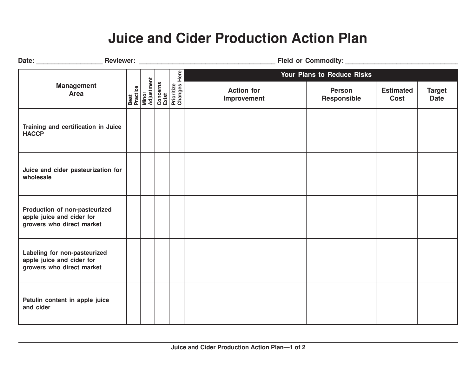#### **Juice and Cider Production Action Plan**

|                                                                                         |                                         |                                                 |                                  | Your Plans to Reduce Risks   |                          |                              |  |
|-----------------------------------------------------------------------------------------|-----------------------------------------|-------------------------------------------------|----------------------------------|------------------------------|--------------------------|------------------------------|--|
| <b>Management</b><br><b>Area</b>                                                        | Best<br>Practice<br>Minor<br>Adjustment | Concerns<br>Exist<br>Prioritize<br>Changes Here | <b>Action for</b><br>Improvement | <b>Person</b><br>Responsible | <b>Estimated</b><br>Cost | <b>Target</b><br><b>Date</b> |  |
| Training and certification in Juice<br><b>HACCP</b>                                     |                                         |                                                 |                                  |                              |                          |                              |  |
| Juice and cider pasteurization for<br>wholesale                                         |                                         |                                                 |                                  |                              |                          |                              |  |
| Production of non-pasteurized<br>apple juice and cider for<br>growers who direct market |                                         |                                                 |                                  |                              |                          |                              |  |
| Labeling for non-pasteurized<br>apple juice and cider for<br>growers who direct market  |                                         |                                                 |                                  |                              |                          |                              |  |
| Patulin content in apple juice<br>and cider                                             |                                         |                                                 |                                  |                              |                          |                              |  |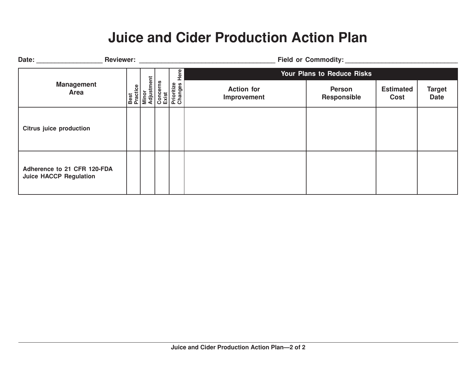#### **Juice and Cider Production Action Plan**

| Date: and the state of the state of the state of the state of the state of the state of the state of the state of the state of the state of the state of the state of the state of the state of the state of the state of the |                                         |                                            | <b>Field or Commodity:</b>       |                                     |                          |                              |  |
|-------------------------------------------------------------------------------------------------------------------------------------------------------------------------------------------------------------------------------|-----------------------------------------|--------------------------------------------|----------------------------------|-------------------------------------|--------------------------|------------------------------|--|
|                                                                                                                                                                                                                               |                                         | Here                                       | Your Plans to Reduce Risks       |                                     |                          |                              |  |
| <b>Management</b><br>Area                                                                                                                                                                                                     | Best<br>Practice<br>Minor<br>Adjustment | Concerns<br>Exist<br>Prioritize<br>Changes | <b>Action for</b><br>Improvement | <b>Person</b><br><b>Responsible</b> | <b>Estimated</b><br>Cost | <b>Target</b><br><b>Date</b> |  |
| <b>Citrus juice production</b>                                                                                                                                                                                                |                                         |                                            |                                  |                                     |                          |                              |  |
| Adherence to 21 CFR 120-FDA<br><b>Juice HACCP Regulation</b>                                                                                                                                                                  |                                         |                                            |                                  |                                     |                          |                              |  |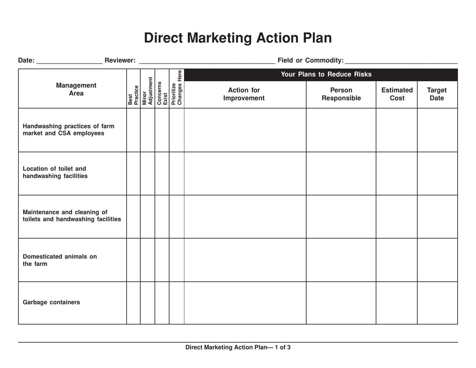#### **Direct Marketing Action Plan**

|                                                                   |  | Best<br>Practice<br>Minor<br>Adjustment<br>Concerns<br>Exist<br>Prioritize<br>Prioritize |  |                                  | Your Plans to Reduce Risks   |                          |                              |  |
|-------------------------------------------------------------------|--|------------------------------------------------------------------------------------------|--|----------------------------------|------------------------------|--------------------------|------------------------------|--|
| <b>Management</b><br>Area                                         |  |                                                                                          |  | <b>Action for</b><br>Improvement | <b>Person</b><br>Responsible | <b>Estimated</b><br>Cost | <b>Target</b><br><b>Date</b> |  |
| Handwashing practices of farm<br>market and CSA employees         |  |                                                                                          |  |                                  |                              |                          |                              |  |
| Location of toilet and<br>handwashing facilities                  |  |                                                                                          |  |                                  |                              |                          |                              |  |
| Maintenance and cleaning of<br>toilets and handwashing facilities |  |                                                                                          |  |                                  |                              |                          |                              |  |
| Domesticated animals on<br>the farm                               |  |                                                                                          |  |                                  |                              |                          |                              |  |
| <b>Garbage containers</b>                                         |  |                                                                                          |  |                                  |                              |                          |                              |  |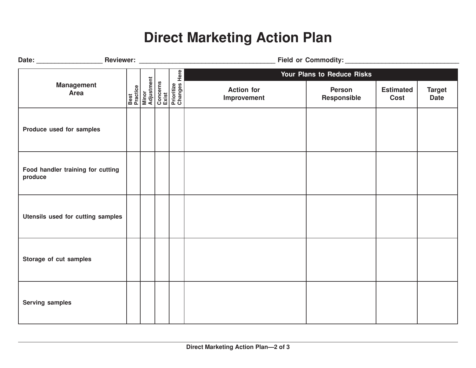## **Direct Marketing Action Plan**

|                                              |  |                                                                                          | Field or Commodity: Management of Commodity: |                              |                          |                              |  |
|----------------------------------------------|--|------------------------------------------------------------------------------------------|----------------------------------------------|------------------------------|--------------------------|------------------------------|--|
|                                              |  |                                                                                          |                                              | Your Plans to Reduce Risks   |                          |                              |  |
| <b>Management</b><br><b>Area</b>             |  | Best<br>Practice<br>Minor<br>Adjustment<br>Concerns<br>Exist<br>Prioritize<br>Prioritize | <b>Action for</b><br>Improvement             | <b>Person</b><br>Responsible | <b>Estimated</b><br>Cost | <b>Target</b><br><b>Date</b> |  |
| Produce used for samples                     |  |                                                                                          |                                              |                              |                          |                              |  |
| Food handler training for cutting<br>produce |  |                                                                                          |                                              |                              |                          |                              |  |
| Utensils used for cutting samples            |  |                                                                                          |                                              |                              |                          |                              |  |
| Storage of cut samples                       |  |                                                                                          |                                              |                              |                          |                              |  |
| <b>Serving samples</b>                       |  |                                                                                          |                                              |                              |                          |                              |  |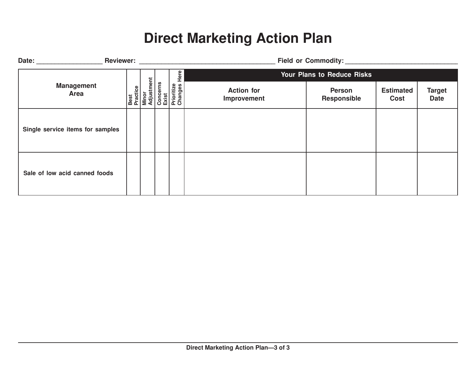## **Direct Marketing Action Plan**

| <b>Reviewer:</b><br>Date:        |                                         |                                                     | <b>Field or Commodity:</b>       |                              |                          |                              |  |
|----------------------------------|-----------------------------------------|-----------------------------------------------------|----------------------------------|------------------------------|--------------------------|------------------------------|--|
|                                  |                                         | Here                                                | Your Plans to Reduce Risks       |                              |                          |                              |  |
| <b>Management</b><br>Area        | Best<br>Practice<br>Minor<br>Adjustment | <b>Concerns</b><br>Exist<br>Prioritize<br>Changes H | <b>Action for</b><br>Improvement | <b>Person</b><br>Responsible | <b>Estimated</b><br>Cost | <b>Target</b><br><b>Date</b> |  |
| Single service items for samples |                                         |                                                     |                                  |                              |                          |                              |  |
| Sale of low acid canned foods    |                                         |                                                     |                                  |                              |                          |                              |  |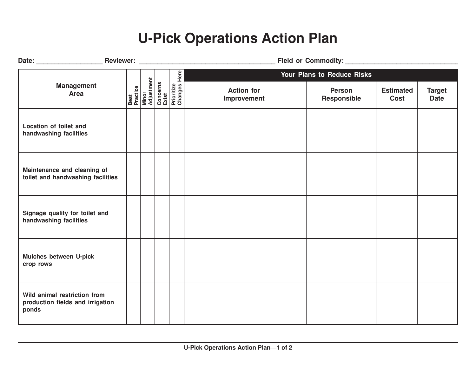#### **U-Pick Operations Action Plan**

|                                                                           |  |                                                                                          |                                  | Your Plans to Reduce Risks   |                                 |                              |  |
|---------------------------------------------------------------------------|--|------------------------------------------------------------------------------------------|----------------------------------|------------------------------|---------------------------------|------------------------------|--|
| <b>Management</b><br><b>Area</b>                                          |  | Best<br>Practice<br>Minor<br>Adjustment<br>Concerns<br>Exist<br>Prioritize<br>Prioritize | <b>Action for</b><br>Improvement | <b>Person</b><br>Responsible | <b>Estimated</b><br><b>Cost</b> | <b>Target</b><br><b>Date</b> |  |
| Location of toilet and<br>handwashing facilities                          |  |                                                                                          |                                  |                              |                                 |                              |  |
| Maintenance and cleaning of<br>toilet and handwashing facilities          |  |                                                                                          |                                  |                              |                                 |                              |  |
| Signage quality for toilet and<br>handwashing facilities                  |  |                                                                                          |                                  |                              |                                 |                              |  |
| Mulches between U-pick<br>crop rows                                       |  |                                                                                          |                                  |                              |                                 |                              |  |
| Wild animal restriction from<br>production fields and irrigation<br>ponds |  |                                                                                          |                                  |                              |                                 |                              |  |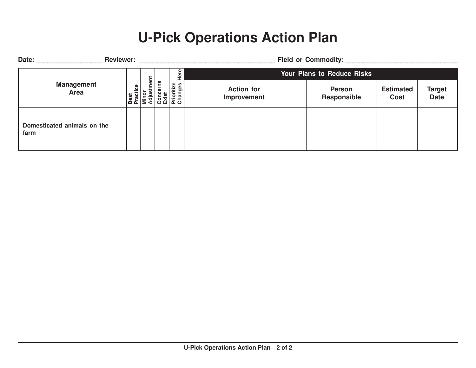## **U-Pick Operations Action Plan**

| Date:                               | <b>Reviewer:</b>          |                  |                |                                            |                                   | <b>Field or Commodity:</b>          |                                 |                              |  |
|-------------------------------------|---------------------------|------------------|----------------|--------------------------------------------|-----------------------------------|-------------------------------------|---------------------------------|------------------------------|--|
|                                     |                           | Ent              |                |                                            | <b>Your Plans to Reduce Risks</b> |                                     |                                 |                              |  |
|                                     | <b>Management</b><br>Area | Best<br>Practice | Minor<br>Adjus | Concerns<br>Exist<br>Prioritize<br>Changes | <b>Action for</b><br>Improvement  | <b>Person</b><br><b>Responsible</b> | <b>Estimated</b><br><b>Cost</b> | <b>Target</b><br><b>Date</b> |  |
| Domesticated animals on the<br>farm |                           |                  |                |                                            |                                   |                                     |                                 |                              |  |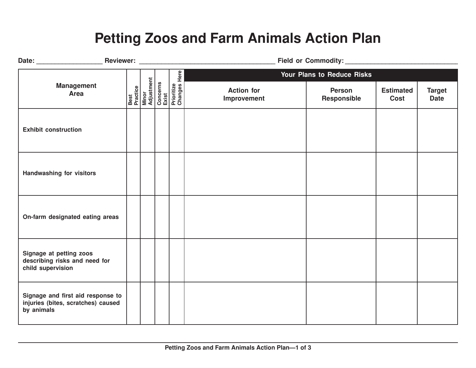#### **Petting Zoos and Farm Animals Action Plan**

|                                                                                       |  |                                                                                          | Your Plans to Reduce Risks       |                              |                          |                              |  |  |
|---------------------------------------------------------------------------------------|--|------------------------------------------------------------------------------------------|----------------------------------|------------------------------|--------------------------|------------------------------|--|--|
| <b>Management</b><br><b>Area</b>                                                      |  | Best<br>Practice<br>Minor<br>Adjustment<br>Concerns<br>Exist<br>Prioritize<br>Prioritize | <b>Action for</b><br>Improvement | <b>Person</b><br>Responsible | <b>Estimated</b><br>Cost | <b>Target</b><br><b>Date</b> |  |  |
| <b>Exhibit construction</b>                                                           |  |                                                                                          |                                  |                              |                          |                              |  |  |
| <b>Handwashing for visitors</b>                                                       |  |                                                                                          |                                  |                              |                          |                              |  |  |
| On-farm designated eating areas                                                       |  |                                                                                          |                                  |                              |                          |                              |  |  |
| Signage at petting zoos<br>describing risks and need for<br>child supervision         |  |                                                                                          |                                  |                              |                          |                              |  |  |
| Signage and first aid response to<br>injuries (bites, scratches) caused<br>by animals |  |                                                                                          |                                  |                              |                          |                              |  |  |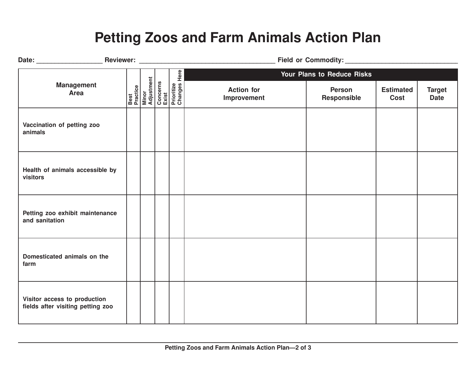#### **Petting Zoos and Farm Animals Action Plan**

|                                                                   |  |                                                                                          |                                  | Your Plans to Reduce Risks   |                          |                              |  |  |
|-------------------------------------------------------------------|--|------------------------------------------------------------------------------------------|----------------------------------|------------------------------|--------------------------|------------------------------|--|--|
| <b>Management</b><br><b>Area</b>                                  |  | Best<br>Practice<br>Minor<br>Adjustment<br>Concerns<br>Exist<br>Prioritize<br>Prioritize | <b>Action for</b><br>Improvement | <b>Person</b><br>Responsible | <b>Estimated</b><br>Cost | <b>Target</b><br><b>Date</b> |  |  |
| Vaccination of petting zoo<br>animals                             |  |                                                                                          |                                  |                              |                          |                              |  |  |
| Health of animals accessible by<br>visitors                       |  |                                                                                          |                                  |                              |                          |                              |  |  |
| Petting zoo exhibit maintenance<br>and sanitation                 |  |                                                                                          |                                  |                              |                          |                              |  |  |
| Domesticated animals on the<br>farm                               |  |                                                                                          |                                  |                              |                          |                              |  |  |
| Visitor access to production<br>fields after visiting petting zoo |  |                                                                                          |                                  |                              |                          |                              |  |  |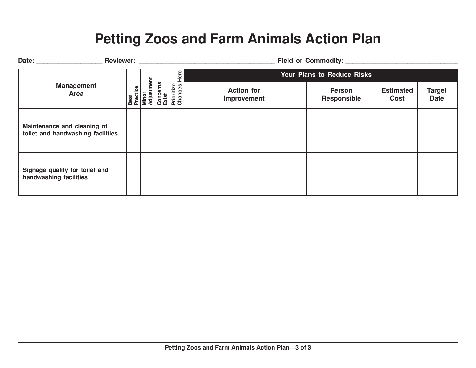#### **Petting Zoos and Farm Animals Action Plan**

| <b>Reviewer:</b><br>Date:                                        |                                         |                                              | <b>Field or Commodity:</b>       |                                     |                          |                              |  |  |
|------------------------------------------------------------------|-----------------------------------------|----------------------------------------------|----------------------------------|-------------------------------------|--------------------------|------------------------------|--|--|
|                                                                  |                                         | Here                                         |                                  | Your Plans to Reduce Risks          |                          |                              |  |  |
| <b>Management</b><br>Area                                        | Best<br>Practice<br>Minor<br>Adjustment | Concerns<br>Exist<br>Prioritize<br>Changes I | <b>Action for</b><br>Improvement | <b>Person</b><br><b>Responsible</b> | <b>Estimated</b><br>Cost | <b>Target</b><br><b>Date</b> |  |  |
| Maintenance and cleaning of<br>toilet and handwashing facilities |                                         |                                              |                                  |                                     |                          |                              |  |  |
| Signage quality for toilet and<br>handwashing facilities         |                                         |                                              |                                  |                                     |                          |                              |  |  |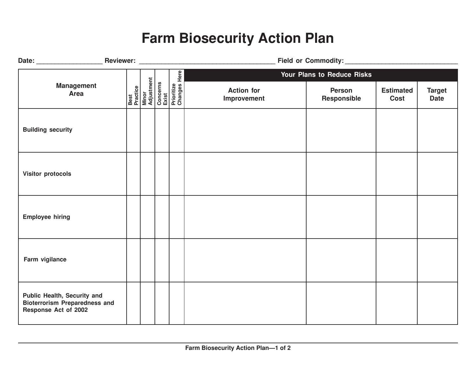#### **Farm Biosecurity Action Plan**

|                                                                                                    |  |  | Field or Commodity: Management of Commodity:                                             |                                  |                            |                          |                              |
|----------------------------------------------------------------------------------------------------|--|--|------------------------------------------------------------------------------------------|----------------------------------|----------------------------|--------------------------|------------------------------|
|                                                                                                    |  |  |                                                                                          |                                  | Your Plans to Reduce Risks |                          |                              |
| <b>Management</b><br><b>Area</b>                                                                   |  |  | Best<br>Practice<br>Minor<br>Adjustment<br>Concerns<br>Exist<br>Prioritize<br>Prioritize | <b>Action for</b><br>Improvement | Person<br>Responsible      | <b>Estimated</b><br>Cost | <b>Target</b><br><b>Date</b> |
| <b>Building security</b>                                                                           |  |  |                                                                                          |                                  |                            |                          |                              |
| <b>Visitor protocols</b>                                                                           |  |  |                                                                                          |                                  |                            |                          |                              |
| <b>Employee hiring</b>                                                                             |  |  |                                                                                          |                                  |                            |                          |                              |
| Farm vigilance                                                                                     |  |  |                                                                                          |                                  |                            |                          |                              |
| Public Health, Security and<br><b>Bioterrorism Preparedness and</b><br><b>Response Act of 2002</b> |  |  |                                                                                          |                                  |                            |                          |                              |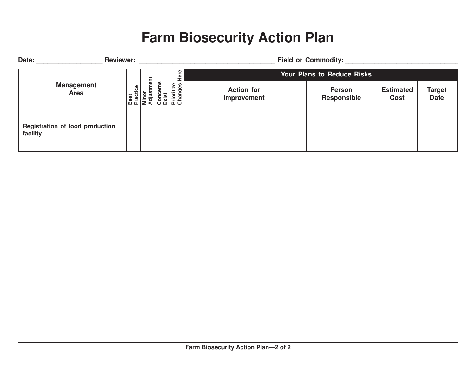#### **Farm Biosecurity Action Plan**

| <b>Reviewer:</b><br>Date:                   |                        |                |                                            | <b>Field or Commodity:</b>       |                                     |                          |                              |  |  |
|---------------------------------------------|------------------------|----------------|--------------------------------------------|----------------------------------|-------------------------------------|--------------------------|------------------------------|--|--|
|                                             |                        | <b>Fire</b>    |                                            |                                  | <b>Your Plans to Reduce Risks</b>   |                          |                              |  |  |
| <b>Management</b><br>Area                   | ctice<br>Best<br>Praci | Minor<br>Adjus | Concerns<br>Exist<br>Prioritize<br>Changes | <b>Action for</b><br>Improvement | <b>Person</b><br><b>Responsible</b> | <b>Estimated</b><br>Cost | <b>Target</b><br><b>Date</b> |  |  |
| Registration of food production<br>facility |                        |                |                                            |                                  |                                     |                          |                              |  |  |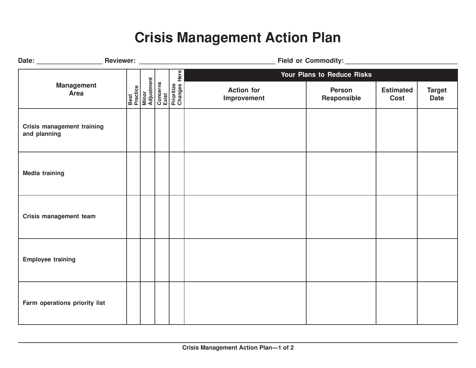## **Crisis Management Action Plan**

|                                            |  |  |  | Here<br><b>Best</b><br>Practice<br>Minor<br>Adjustment<br>Concerns<br>Exist<br>Prioritize<br>Prioritize | Your Plans to Reduce Risks       |                       |                          |                              |
|--------------------------------------------|--|--|--|---------------------------------------------------------------------------------------------------------|----------------------------------|-----------------------|--------------------------|------------------------------|
| <b>Management</b><br><b>Area</b>           |  |  |  |                                                                                                         | <b>Action for</b><br>Improvement | Person<br>Responsible | <b>Estimated</b><br>Cost | <b>Target</b><br><b>Date</b> |
| Crisis management training<br>and planning |  |  |  |                                                                                                         |                                  |                       |                          |                              |
| <b>Media training</b>                      |  |  |  |                                                                                                         |                                  |                       |                          |                              |
| Crisis management team                     |  |  |  |                                                                                                         |                                  |                       |                          |                              |
| <b>Employee training</b>                   |  |  |  |                                                                                                         |                                  |                       |                          |                              |
| Farm operations priority list              |  |  |  |                                                                                                         |                                  |                       |                          |                              |